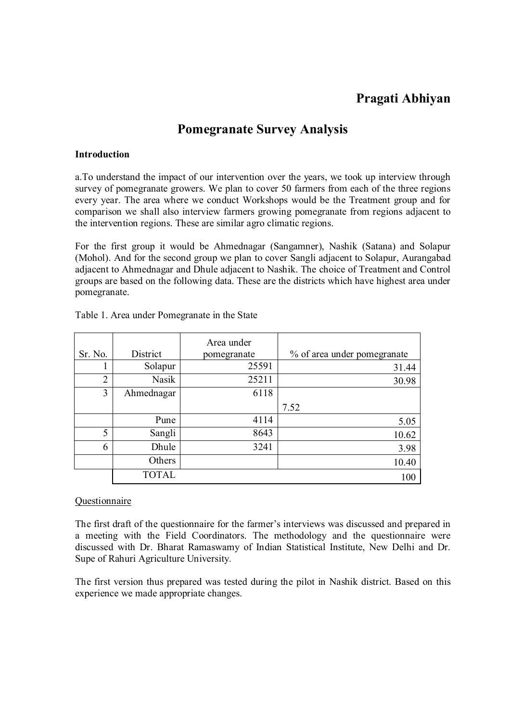# Pragati Abhiyan

## Pomegranate Survey Analysis

#### Introduction

a.To understand the impact of our intervention over the years, we took up interview through survey of pomegranate growers. We plan to cover 50 farmers from each of the three regions every year. The area where we conduct Workshops would be the Treatment group and for comparison we shall also interview farmers growing pomegranate from regions adjacent to the intervention regions. These are similar agro climatic regions.

For the first group it would be Ahmednagar (Sangamner), Nashik (Satana) and Solapur (Mohol). And for the second group we plan to cover Sangli adjacent to Solapur, Aurangabad adjacent to Ahmednagar and Dhule adjacent to Nashik. The choice of Treatment and Control groups are based on the following data. These are the districts which have highest area under pomegranate.

| Sr. No.        | District     | Area under<br>pomegranate | % of area under pomegranate |
|----------------|--------------|---------------------------|-----------------------------|
|                | Solapur      | 25591                     | 31.44                       |
| $\overline{2}$ | <b>Nasik</b> | 25211                     | 30.98                       |
| 3              | Ahmednagar   | 6118                      |                             |
|                |              |                           | 7.52                        |
|                | Pune         | 4114                      | 5.05                        |
| 5              | Sangli       | 8643                      | 10.62                       |
| 6              | Dhule        | 3241                      | 3.98                        |
|                | Others       |                           | 10.40                       |
|                | <b>TOTAL</b> |                           | 100                         |

Table 1. Area under Pomegranate in the State

#### **Questionnaire**

The first draft of the questionnaire for the farmer's interviews was discussed and prepared in a meeting with the Field Coordinators. The methodology and the questionnaire were discussed with Dr. Bharat Ramaswamy of Indian Statistical Institute, New Delhi and Dr. Supe of Rahuri Agriculture University.

The first version thus prepared was tested during the pilot in Nashik district. Based on this experience we made appropriate changes.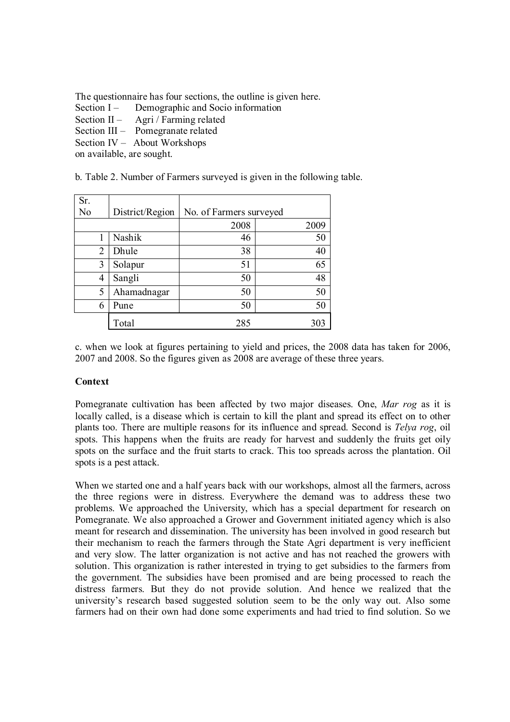The questionnaire has four sections, the outline is given here.

Section I – Demographic and Socio information

Section II – Agri / Farming related

Section III – Pomegranate related

Section IV – About Workshops

on available, are sought.

b. Table 2. Number of Farmers surveyed is given in the following table.

| Sr.            |                 |                         |      |
|----------------|-----------------|-------------------------|------|
| N <sub>0</sub> | District/Region | No. of Farmers surveyed |      |
|                |                 | 2008                    | 2009 |
|                | Nashik          | 46                      | 50   |
| 2              | Dhule           | 38                      | 40   |
| 3              | Solapur         | 51                      | 65   |
| 4              | Sangli          | 50                      | 48   |
| 5              | Ahamadnagar     | 50                      | 50   |
| 6              | Pune            | 50                      | 50   |
|                | Total           | 285                     | 303  |

c. when we look at figures pertaining to yield and prices, the 2008 data has taken for 2006, 2007 and 2008. So the figures given as 2008 are average of these three years.

## **Context**

Pomegranate cultivation has been affected by two major diseases. One, Mar rog as it is locally called, is a disease which is certain to kill the plant and spread its effect on to other plants too. There are multiple reasons for its influence and spread. Second is Telya rog, oil spots. This happens when the fruits are ready for harvest and suddenly the fruits get oily spots on the surface and the fruit starts to crack. This too spreads across the plantation. Oil spots is a pest attack.

When we started one and a half years back with our workshops, almost all the farmers, across the three regions were in distress. Everywhere the demand was to address these two problems. We approached the University, which has a special department for research on Pomegranate. We also approached a Grower and Government initiated agency which is also meant for research and dissemination. The university has been involved in good research but their mechanism to reach the farmers through the State Agri department is very inefficient and very slow. The latter organization is not active and has not reached the growers with solution. This organization is rather interested in trying to get subsidies to the farmers from the government. The subsidies have been promised and are being processed to reach the distress farmers. But they do not provide solution. And hence we realized that the university's research based suggested solution seem to be the only way out. Also some farmers had on their own had done some experiments and had tried to find solution. So we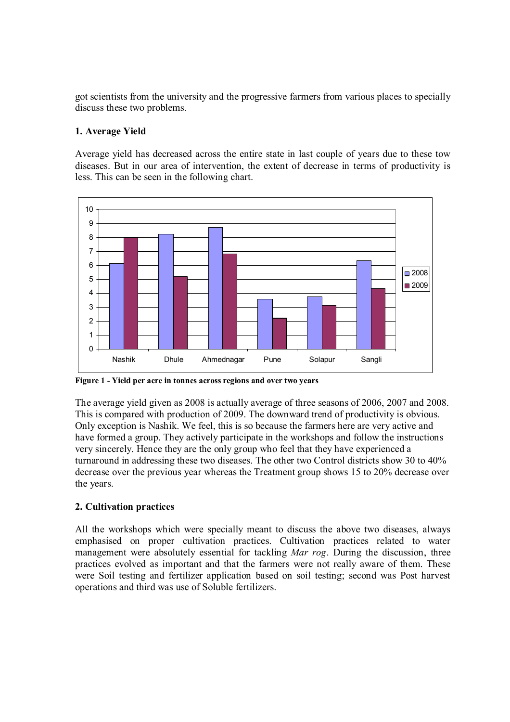got scientists from the university and the progressive farmers from various places to specially discuss these two problems.

## 1. Average Yield

Average yield has decreased across the entire state in last couple of years due to these tow diseases. But in our area of intervention, the extent of decrease in terms of productivity is less. This can be seen in the following chart.



Figure 1 - Yield per acre in tonnes across regions and over two years

The average yield given as 2008 is actually average of three seasons of 2006, 2007 and 2008. This is compared with production of 2009. The downward trend of productivity is obvious. Only exception is Nashik. We feel, this is so because the farmers here are very active and have formed a group. They actively participate in the workshops and follow the instructions very sincerely. Hence they are the only group who feel that they have experienced a turnaround in addressing these two diseases. The other two Control districts show 30 to 40% decrease over the previous year whereas the Treatment group shows 15 to 20% decrease over the years.

#### 2. Cultivation practices

All the workshops which were specially meant to discuss the above two diseases, always emphasised on proper cultivation practices. Cultivation practices related to water management were absolutely essential for tackling Mar rog. During the discussion, three practices evolved as important and that the farmers were not really aware of them. These were Soil testing and fertilizer application based on soil testing; second was Post harvest operations and third was use of Soluble fertilizers.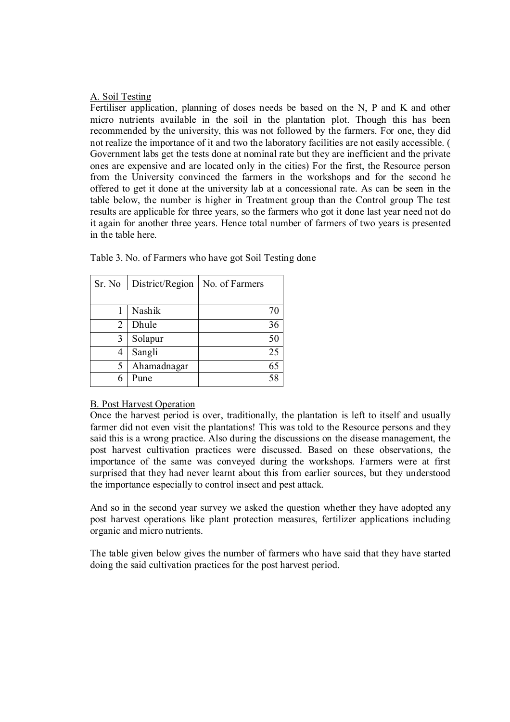#### A. Soil Testing

Fertiliser application, planning of doses needs be based on the N, P and K and other micro nutrients available in the soil in the plantation plot. Though this has been recommended by the university, this was not followed by the farmers. For one, they did not realize the importance of it and two the laboratory facilities are not easily accessible. ( Government labs get the tests done at nominal rate but they are inefficient and the private ones are expensive and are located only in the cities) For the first, the Resource person from the University convinced the farmers in the workshops and for the second he offered to get it done at the university lab at a concessional rate. As can be seen in the table below, the number is higher in Treatment group than the Control group The test results are applicable for three years, so the farmers who got it done last year need not do it again for another three years. Hence total number of farmers of two years is presented in the table here.

| Sr. No | District/Region | No. of Farmers |
|--------|-----------------|----------------|
|        |                 |                |
|        | Nashik          | 70             |
| 2      | Dhule           | 36             |
| 3      | Solapur         | 50             |
| 4      | Sangli          | 25             |
| 5      | Ahamadnagar     | 65             |
| 6      | Pune            | 58             |

Table 3. No. of Farmers who have got Soil Testing done

#### B. Post Harvest Operation

Once the harvest period is over, traditionally, the plantation is left to itself and usually farmer did not even visit the plantations! This was told to the Resource persons and they said this is a wrong practice. Also during the discussions on the disease management, the post harvest cultivation practices were discussed. Based on these observations, the importance of the same was conveyed during the workshops. Farmers were at first surprised that they had never learnt about this from earlier sources, but they understood the importance especially to control insect and pest attack.

And so in the second year survey we asked the question whether they have adopted any post harvest operations like plant protection measures, fertilizer applications including organic and micro nutrients.

The table given below gives the number of farmers who have said that they have started doing the said cultivation practices for the post harvest period.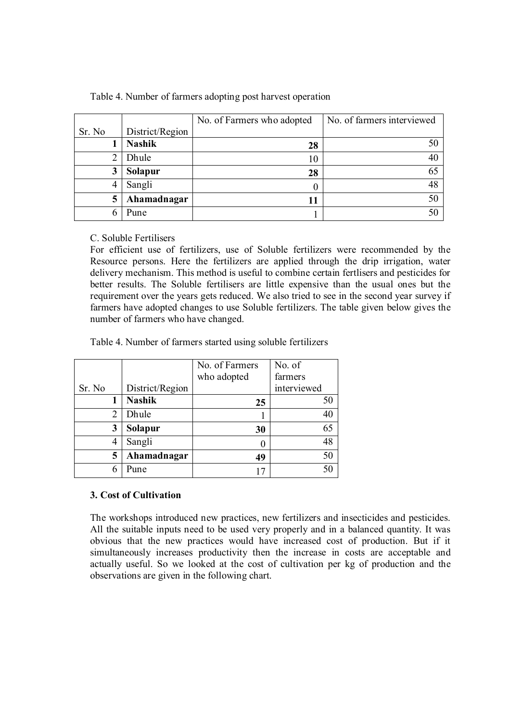|        |                 | No. of Farmers who adopted | No. of farmers interviewed |  |
|--------|-----------------|----------------------------|----------------------------|--|
| Sr. No | District/Region |                            |                            |  |
|        | <b>Nashik</b>   | 28                         |                            |  |
| 2      | Dhule           | 10                         |                            |  |
| 3      | Solapur         | 28                         |                            |  |
| 4      | Sangli          |                            |                            |  |
| 5      | Ahamadnagar     | 11                         |                            |  |
| 6      | Pune            |                            |                            |  |

Table 4. Number of farmers adopting post harvest operation

#### C. Soluble Fertilisers

For efficient use of fertilizers, use of Soluble fertilizers were recommended by the Resource persons. Here the fertilizers are applied through the drip irrigation, water delivery mechanism. This method is useful to combine certain fertlisers and pesticides for better results. The Soluble fertilisers are little expensive than the usual ones but the requirement over the years gets reduced. We also tried to see in the second year survey if farmers have adopted changes to use Soluble fertilizers. The table given below gives the number of farmers who have changed.

Table 4. Number of farmers started using soluble fertilizers

|        |                 | No. of Farmers | No. $of$    |
|--------|-----------------|----------------|-------------|
|        |                 | who adopted    | farmers     |
| Sr. No | District/Region |                | interviewed |
|        | <b>Nashik</b>   | 25             | 50          |
| 2      | Dhule           |                | 40          |
| 3      | Solapur         | 30             | 65          |
| 4      | Sangli          |                | 48          |
| 5      | Ahamadnagar     | 49             | 50          |
| 6      | Pune            |                | 50          |

## 3. Cost of Cultivation

The workshops introduced new practices, new fertilizers and insecticides and pesticides. All the suitable inputs need to be used very properly and in a balanced quantity. It was obvious that the new practices would have increased cost of production. But if it simultaneously increases productivity then the increase in costs are acceptable and actually useful. So we looked at the cost of cultivation per kg of production and the observations are given in the following chart.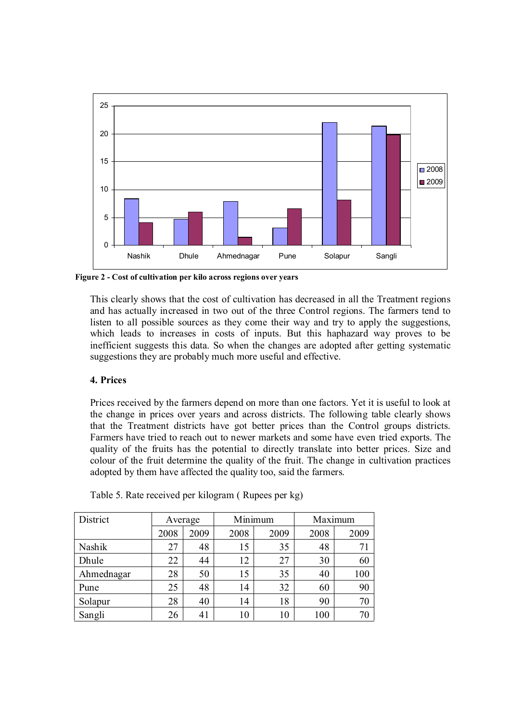

Figure 2 - Cost of cultivation per kilo across regions over years

This clearly shows that the cost of cultivation has decreased in all the Treatment regions and has actually increased in two out of the three Control regions. The farmers tend to listen to all possible sources as they come their way and try to apply the suggestions, which leads to increases in costs of inputs. But this haphazard way proves to be inefficient suggests this data. So when the changes are adopted after getting systematic suggestions they are probably much more useful and effective.

#### 4. Prices

Prices received by the farmers depend on more than one factors. Yet it is useful to look at the change in prices over years and across districts. The following table clearly shows that the Treatment districts have got better prices than the Control groups districts. Farmers have tried to reach out to newer markets and some have even tried exports. The quality of the fruits has the potential to directly translate into better prices. Size and colour of the fruit determine the quality of the fruit. The change in cultivation practices adopted by them have affected the quality too, said the farmers.

| District   | Average |      | Minimum |      | Maximum |      |
|------------|---------|------|---------|------|---------|------|
|            | 2008    | 2009 | 2008    | 2009 | 2008    | 2009 |
| Nashik     | 27      | 48   | 15      | 35   | 48      | 71   |
| Dhule      | 22      | 44   | 12      | 27   | 30      | 60   |
| Ahmednagar | 28      | 50   | 15      | 35   | 40      | 100  |
| Pune       | 25      | 48   | 14      | 32   | 60      | 90   |
| Solapur    | 28      | 40   | 14      | 18   | 90      | 70   |
| Sangli     | 26      | 41   | 10      | 10   | 100     | 70   |

Table 5. Rate received per kilogram ( Rupees per kg)